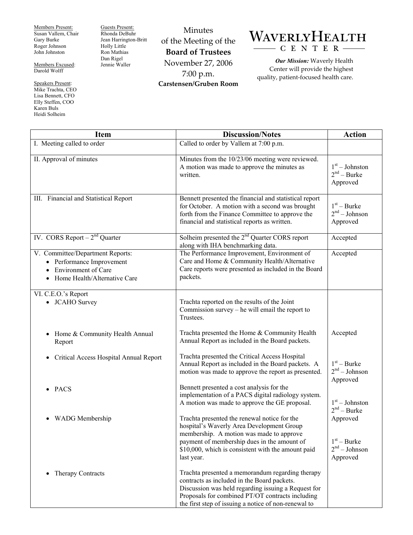Members Present: Susan Vallem, Chair Gary Burke Roger Johnson John Johnston

Members Excused: Darold Wolff

Speakers Present: Mike Trachta, CEO Lisa Bennett, CFO Elly Steffen, COO Karen Buls Heidi Solheim

Guests Present: Rhonda DeBuhr Jean Harrington-Britt Holly Little Ron Mathias Dan Rigel Jennie Waller

Minutes of the Meeting of the **Board of Trustees**  November 27, 2006 7:00 p.m. **Carstensen/Gruben Room** 



*Our Mission:* Waverly Health Center will provide the highest quality, patient-focused health care.

| <b>Item</b>                                                                                                                 | <b>Discussion/Notes</b>                                                                                                                                                                                                                                            | <b>Action</b>                                            |
|-----------------------------------------------------------------------------------------------------------------------------|--------------------------------------------------------------------------------------------------------------------------------------------------------------------------------------------------------------------------------------------------------------------|----------------------------------------------------------|
| I. Meeting called to order                                                                                                  | Called to order by Vallem at 7:00 p.m.                                                                                                                                                                                                                             |                                                          |
| II. Approval of minutes                                                                                                     | Minutes from the 10/23/06 meeting were reviewed.<br>A motion was made to approve the minutes as<br>written.                                                                                                                                                        | $1st - Johnston$<br>$2nd - Burke$<br>Approved            |
| III. Financial and Statistical Report                                                                                       | Bennett presented the financial and statistical report<br>for October. A motion with a second was brought<br>forth from the Finance Committee to approve the<br>financial and statistical reports as written.                                                      | $1st - Burke$<br>$2nd - Johnson$<br>Approved             |
| IV. CORS Report – $2nd$ Quarter                                                                                             | Solheim presented the 2 <sup>nd</sup> Quarter CORS report<br>along with IHA benchmarking data.                                                                                                                                                                     | Accepted                                                 |
| V. Committee/Department Reports:<br>• Performance Improvement<br><b>Environment of Care</b><br>Home Health/Alternative Care | The Performance Improvement, Environment of<br>Care and Home & Community Health/Alternative<br>Care reports were presented as included in the Board<br>packets.                                                                                                    | Accepted                                                 |
| VI. C.E.O.'s Report<br>• JCAHO Survey                                                                                       | Trachta reported on the results of the Joint<br>Commission survey – he will email the report to<br>Trustees.                                                                                                                                                       |                                                          |
| Home & Community Health Annual<br>$\bullet$<br>Report                                                                       | Trachta presented the Home & Community Health<br>Annual Report as included in the Board packets.                                                                                                                                                                   | Accepted                                                 |
| Critical Access Hospital Annual Report<br>$\bullet$                                                                         | Trachta presented the Critical Access Hospital<br>Annual Report as included in the Board packets. A<br>motion was made to approve the report as presented.                                                                                                         | $1st - Burke$<br>$2nd - Johnson$<br>Approved             |
| • PACS                                                                                                                      | Bennett presented a cost analysis for the<br>implementation of a PACS digital radiology system.<br>A motion was made to approve the GE proposal.                                                                                                                   | $1st - Johnston$<br>$2nd - Burke$                        |
| <b>WADG</b> Membership<br>$\bullet$                                                                                         | Trachta presented the renewal notice for the<br>hospital's Waverly Area Development Group<br>membership. A motion was made to approve<br>payment of membership dues in the amount of<br>\$10,000, which is consistent with the amount paid<br>last year.           | Approved<br>$1st - Burke$<br>$2nd - Johnson$<br>Approved |
| Therapy Contracts<br>٠                                                                                                      | Trachta presented a memorandum regarding therapy<br>contracts as included in the Board packets.<br>Discussion was held regarding issuing a Request for<br>Proposals for combined PT/OT contracts including<br>the first step of issuing a notice of non-renewal to |                                                          |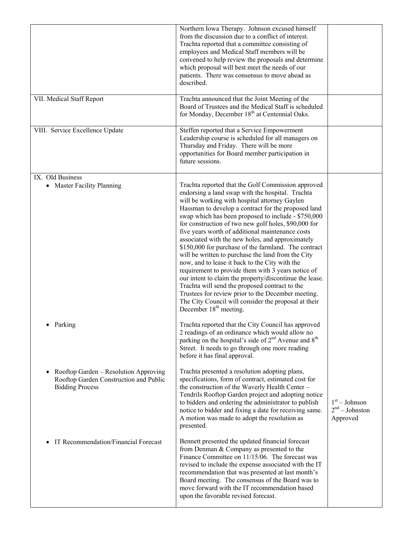|                                                                                                                        | Northern Iowa Therapy. Johnson excused himself<br>from the discussion due to a conflict of interest.<br>Trachta reported that a committee consisting of<br>employees and Medical Staff members will be<br>convened to help review the proposals and determine<br>which proposal will best meet the needs of our<br>patients. There was consensus to move ahead as<br>described.                                                                                                                                                                                                                                                                                                                                                                                                                                                                                                                                              |                                                 |
|------------------------------------------------------------------------------------------------------------------------|------------------------------------------------------------------------------------------------------------------------------------------------------------------------------------------------------------------------------------------------------------------------------------------------------------------------------------------------------------------------------------------------------------------------------------------------------------------------------------------------------------------------------------------------------------------------------------------------------------------------------------------------------------------------------------------------------------------------------------------------------------------------------------------------------------------------------------------------------------------------------------------------------------------------------|-------------------------------------------------|
| VII. Medical Staff Report                                                                                              | Trachta announced that the Joint Meeting of the<br>Board of Trustees and the Medical Staff is scheduled<br>for Monday, December 18 <sup>th</sup> at Centennial Oaks.                                                                                                                                                                                                                                                                                                                                                                                                                                                                                                                                                                                                                                                                                                                                                         |                                                 |
| VIII. Service Excellence Update                                                                                        | Steffen reported that a Service Empowerment<br>Leadership course is scheduled for all managers on<br>Thursday and Friday. There will be more<br>opportunities for Board member participation in<br>future sessions.                                                                                                                                                                                                                                                                                                                                                                                                                                                                                                                                                                                                                                                                                                          |                                                 |
| IX. Old Business<br>• Master Facility Planning                                                                         | Trachta reported that the Golf Commission approved<br>endorsing a land swap with the hospital. Trachta<br>will be working with hospital attorney Gaylen<br>Hassman to develop a contract for the proposed land<br>swap which has been proposed to include - \$750,000<br>for construction of two new golf holes, \$90,000 for<br>five years worth of additional maintenance costs<br>associated with the new holes, and approximately<br>\$150,000 for purchase of the farmland. The contract<br>will be written to purchase the land from the City<br>now, and to lease it back to the City with the<br>requirement to provide them with 3 years notice of<br>our intent to claim the property/discontinue the lease.<br>Trachta will send the proposed contract to the<br>Trustees for review prior to the December meeting.<br>The City Council will consider the proposal at their<br>December 18 <sup>th</sup> meeting. |                                                 |
| Parking                                                                                                                | Trachta reported that the City Council has approved<br>2 readings of an ordinance which would allow no<br>parking on the hospital's side of $2nd$ Avenue and $8th$<br>Street. It needs to go through one more reading<br>before it has final approval.                                                                                                                                                                                                                                                                                                                                                                                                                                                                                                                                                                                                                                                                       |                                                 |
| Rooftop Garden - Resolution Approving<br>$\bullet$<br>Rooftop Garden Construction and Public<br><b>Bidding Process</b> | Trachta presented a resolution adopting plans,<br>specifications, form of contract, estimated cost for<br>the construction of the Waverly Health Center -<br>Tendrils Rooftop Garden project and adopting notice<br>to bidders and ordering the administrator to publish<br>notice to bidder and fixing a date for receiving same.<br>A motion was made to adopt the resolution as<br>presented.                                                                                                                                                                                                                                                                                                                                                                                                                                                                                                                             | $1st - Johnson$<br>$2nd - Johnston$<br>Approved |
| IT Recommendation/Financial Forecast                                                                                   | Bennett presented the updated financial forecast<br>from Denman & Company as presented to the<br>Finance Committee on 11/15/06. The forecast was<br>revised to include the expense associated with the IT<br>recommendation that was presented at last month's<br>Board meeting. The consensus of the Board was to<br>move forward with the IT recommendation based<br>upon the favorable revised forecast.                                                                                                                                                                                                                                                                                                                                                                                                                                                                                                                  |                                                 |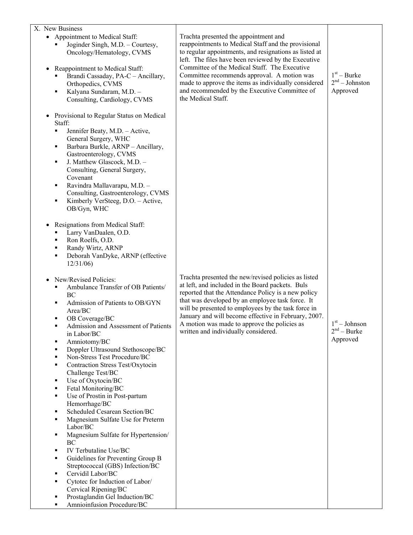| X. New Business                                                                                                                                                                |                                                                                                                                                                                                                                                                |                                               |
|--------------------------------------------------------------------------------------------------------------------------------------------------------------------------------|----------------------------------------------------------------------------------------------------------------------------------------------------------------------------------------------------------------------------------------------------------------|-----------------------------------------------|
| • Appointment to Medical Staff:<br>Joginder Singh, M.D. - Courtesy,<br>Oncology/Hematology, CVMS                                                                               | Trachta presented the appointment and<br>reappointments to Medical Staff and the provisional<br>to regular appointments, and resignations as listed at<br>left. The files have been reviewed by the Executive<br>Committee of the Medical Staff. The Executive |                                               |
| Reappointment to Medical Staff:<br>$\bullet$<br>Brandi Cassaday, PA-C - Ancillary,<br>Orthopedics, CVMS<br>Kalyana Sundaram, M.D. -<br>٠<br>Consulting, Cardiology, CVMS       | Committee recommends approval. A motion was<br>made to approve the items as individually considered<br>and recommended by the Executive Committee of<br>the Medical Staff.                                                                                     | $1st - Burke$<br>$2nd - Johnston$<br>Approved |
| Provisional to Regular Status on Medical<br>Staff:<br>Jennifer Beaty, M.D. - Active,<br>٠                                                                                      |                                                                                                                                                                                                                                                                |                                               |
| General Surgery, WHC<br>Barbara Burkle, ARNP - Ancillary,<br>٠<br>Gastroenterology, CVMS<br>J. Matthew Glascock, M.D. -<br>٠                                                   |                                                                                                                                                                                                                                                                |                                               |
| Consulting, General Surgery,<br>Covenant<br>Ravindra Mallavarapu, M.D. -<br>٠                                                                                                  |                                                                                                                                                                                                                                                                |                                               |
| Consulting, Gastroenterology, CVMS<br>Kimberly VerSteeg, D.O. - Active,<br>٠<br>OB/Gyn, WHC                                                                                    |                                                                                                                                                                                                                                                                |                                               |
| Resignations from Medical Staff:<br>$\bullet$<br>Larry VanDaalen, O.D.<br>Ron Roelfs, O.D.<br>٠<br>Randy Wirtz, ARNP<br>٠<br>Deborah VanDyke, ARNP (effective<br>Е<br>12/31/06 |                                                                                                                                                                                                                                                                |                                               |
| New/Revised Policies:<br>Ambulance Transfer of OB Patients/<br>BC                                                                                                              | Trachta presented the new/revised policies as listed<br>at left, and included in the Board packets. Buls<br>reported that the Attendance Policy is a new policy                                                                                                |                                               |
| Admission of Patients to OB/GYN<br>٠<br>Area/BC                                                                                                                                | that was developed by an employee task force. It<br>will be presented to employees by the task force in<br>January and will become effective in February, 2007.                                                                                                |                                               |
| OB Coverage/BC<br>٠<br>Admission and Assessment of Patients<br>in Labor/BC                                                                                                     | A motion was made to approve the policies as<br>written and individually considered.                                                                                                                                                                           | $1st - Johnson$<br>$2nd$ – Burke<br>Approved  |
| Amniotomy/BC<br>٠<br>Doppler Ultrasound Stethoscope/BC<br>٠<br>Non-Stress Test Procedure/BC<br>Е                                                                               |                                                                                                                                                                                                                                                                |                                               |
| Contraction Stress Test/Oxytocin<br>٠<br>Challenge Test/BC<br>Use of Oxytocin/BC<br>٠                                                                                          |                                                                                                                                                                                                                                                                |                                               |
| Fetal Monitoring/BC<br>٠<br>Use of Prostin in Post-partum<br>٠<br>Hemorrhage/BC                                                                                                |                                                                                                                                                                                                                                                                |                                               |
| Scheduled Cesarean Section/BC<br>٠<br>Magnesium Sulfate Use for Preterm<br>٠<br>Labor/BC                                                                                       |                                                                                                                                                                                                                                                                |                                               |
| Magnesium Sulfate for Hypertension/<br>٠<br>BC                                                                                                                                 |                                                                                                                                                                                                                                                                |                                               |
| IV Terbutaline Use/BC<br>٠<br>Guidelines for Preventing Group B<br>٠<br>Streptococcal (GBS) Infection/BC                                                                       |                                                                                                                                                                                                                                                                |                                               |
| Cervidil Labor/BC<br>٠<br>Cytotec for Induction of Labor/<br>٠<br>Cervical Ripening/BC                                                                                         |                                                                                                                                                                                                                                                                |                                               |
| Prostaglandin Gel Induction/BC<br>٠<br>Amnioinfusion Procedure/BC<br>٠                                                                                                         |                                                                                                                                                                                                                                                                |                                               |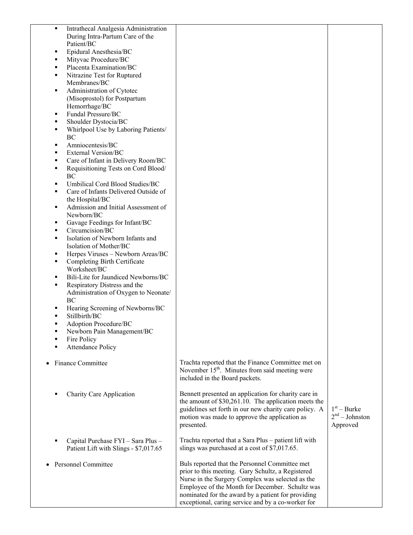| ٠              | Intrathecal Analgesia Administration              |                                                            |                  |
|----------------|---------------------------------------------------|------------------------------------------------------------|------------------|
|                | During Intra-Partum Care of the                   |                                                            |                  |
|                | Patient/BC                                        |                                                            |                  |
| ٠              | Epidural Anesthesia/BC                            |                                                            |                  |
| ٠              | Mityvac Procedure/BC                              |                                                            |                  |
| ٠              | Placenta Examination/BC                           |                                                            |                  |
| ٠              | Nitrazine Test for Ruptured                       |                                                            |                  |
|                | Membranes/BC                                      |                                                            |                  |
| $\blacksquare$ | Administration of Cytotec                         |                                                            |                  |
|                | (Misoprostol) for Postpartum                      |                                                            |                  |
|                | Hemorrhage/BC                                     |                                                            |                  |
| ٠              | Fundal Pressure/BC                                |                                                            |                  |
| ٠              | Shoulder Dystocia/BC                              |                                                            |                  |
| ٠              | Whirlpool Use by Laboring Patients/               |                                                            |                  |
|                | BC                                                |                                                            |                  |
| п              | Amniocentesis/BC                                  |                                                            |                  |
| ٠              | <b>External Version/BC</b>                        |                                                            |                  |
| ٠              | Care of Infant in Delivery Room/BC                |                                                            |                  |
| Ξ              | Requisitioning Tests on Cord Blood/               |                                                            |                  |
|                | BC                                                |                                                            |                  |
| ٠              | Umbilical Cord Blood Studies/BC                   |                                                            |                  |
| ٠              | Care of Infants Delivered Outside of              |                                                            |                  |
|                | the Hospital/BC                                   |                                                            |                  |
| Ξ              | Admission and Initial Assessment of               |                                                            |                  |
|                | Newborn/BC                                        |                                                            |                  |
| ٠              | Gavage Feedings for Infant/BC                     |                                                            |                  |
| ٠              | Circumcision/BC                                   |                                                            |                  |
| ٠              | Isolation of Newborn Infants and                  |                                                            |                  |
|                | Isolation of Mother/BC                            |                                                            |                  |
| п              | Herpes Viruses - Newborn Areas/BC                 |                                                            |                  |
| ٠              | Completing Birth Certificate                      |                                                            |                  |
|                | Worksheet/BC                                      |                                                            |                  |
| п              | Bili-Lite for Jaundiced Newborns/BC               |                                                            |                  |
| Ξ              | Respiratory Distress and the                      |                                                            |                  |
|                | Administration of Oxygen to Neonate/<br><b>BC</b> |                                                            |                  |
| п              |                                                   |                                                            |                  |
|                | Hearing Screening of Newborns/BC<br>Stillbirth/BC |                                                            |                  |
| ▪              | <b>Adoption Procedure/BC</b>                      |                                                            |                  |
| ٠              | Newborn Pain Management/BC                        |                                                            |                  |
|                | Fire Policy                                       |                                                            |                  |
|                | <b>Attendance Policy</b>                          |                                                            |                  |
|                |                                                   |                                                            |                  |
|                | <b>Finance Committee</b>                          | Trachta reported that the Finance Committee met on         |                  |
|                |                                                   | November 15 <sup>th</sup> . Minutes from said meeting were |                  |
|                |                                                   | included in the Board packets.                             |                  |
|                |                                                   |                                                            |                  |
|                | Charity Care Application                          | Bennett presented an application for charity care in       |                  |
|                |                                                   | the amount of \$30,261.10. The application meets the       |                  |
|                |                                                   | guidelines set forth in our new charity care policy. A     | $1st - Burke$    |
|                |                                                   | motion was made to approve the application as              | $2nd - Johnston$ |
|                |                                                   | presented.                                                 | Approved         |
|                |                                                   |                                                            |                  |
|                | Capital Purchase FYI - Sara Plus -                | Trachta reported that a Sara Plus - patient lift with      |                  |
|                | Patient Lift with Slings - \$7,017.65             | slings was purchased at a cost of \$7,017.65.              |                  |
|                |                                                   |                                                            |                  |
|                | <b>Personnel Committee</b>                        | Buls reported that the Personnel Committee met             |                  |
|                |                                                   | prior to this meeting. Gary Schultz, a Registered          |                  |
|                |                                                   | Nurse in the Surgery Complex was selected as the           |                  |
|                |                                                   | Employee of the Month for December. Schultz was            |                  |
|                |                                                   | nominated for the award by a patient for providing         |                  |
|                |                                                   | exceptional, caring service and by a co-worker for         |                  |